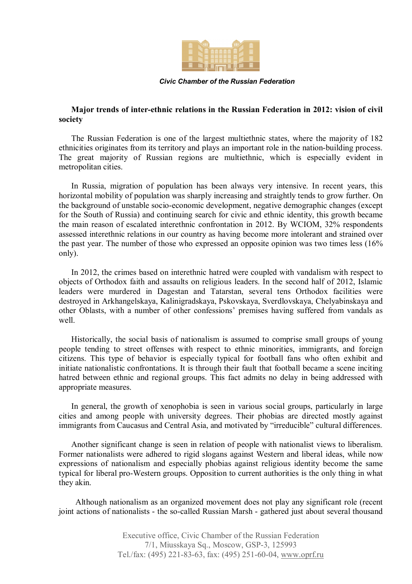

*Civic Chamber of the Russian Federation*

## **Major trends of inter-ethnic relations in the Russian Federation in 2012: vision of civil society**

The Russian Federation is one of the largest multiethnic states, where the majority of 182 ethnicities originates from its territory and plays an important role in the nation-building process. The great majority of Russian regions are multiethnic, which is especially evident in metropolitan cities.

In Russia, migration of population has been always very intensive. In recent years, this horizontal mobility of population was sharply increasing and straightly tends to grow further. On the background of unstable socio-economic development, negative demographic changes (except for the South of Russia) and continuing search for civic and ethnic identity, this growth became the main reason of escalated interethnic confrontation in 2012. By WCIOM, 32% respondents assessed interethnic relations in our country as having become more intolerant and strained over the past year. The number of those who expressed an opposite opinion was two times less (16% only).

In 2012, the crimes based on interethnic hatred were coupled with vandalism with respect to objects of Orthodox faith and assaults on religious leaders. In the second half of 2012, Islamic leaders were murdered in Dagestan and Tatarstan, several tens Orthodox facilities were destroyed in Arkhangelskaya, Kalinigradskaya, Pskovskaya, Sverdlovskaya, Chelyabinskaya and other Oblasts, with a number of other confessions' premises having suffered from vandals as well.

Historically, the social basis of nationalism is assumed to comprise small groups of young people tending to street offenses with respect to ethnic minorities, immigrants, and foreign citizens. This type of behavior is especially typical for football fans who often exhibit and initiate nationalistic confrontations. It is through their fault that football became a scene inciting hatred between ethnic and regional groups. This fact admits no delay in being addressed with appropriate measures.

In general, the growth of xenophobia is seen in various social groups, particularly in large cities and among people with university degrees. Their phobias are directed mostly against immigrants from Caucasus and Central Asia, and motivated by "irreducible" cultural differences.

Another significant change is seen in relation of people with nationalist views to liberalism. Former nationalists were adhered to rigid slogans against Western and liberal ideas, while now expressions of nationalism and especially phobias against religious identity become the same typical for liberal pro-Western groups. Opposition to current authorities is the only thing in what they akin.

 Although nationalism as an organized movement does not play any significant role (recent joint actions of nationalists - the so-called Russian Marsh - gathered just about several thousand

> Executive office, Civic Chamber of the Russian Federation 7/1, Miusskaya Sq., Moscow, GSP-3, 125993 Tel./fax: (495) 221-83-63, fax: (495) 251-60-04, www.oprf.ru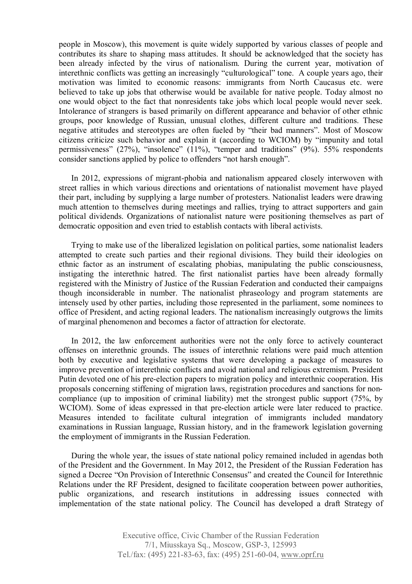people in Moscow), this movement is quite widely supported by various classes of people and contributes its share to shaping mass attitudes. It should be acknowledged that the society has been already infected by the virus of nationalism. During the current year, motivation of interethnic conflicts was getting an increasingly "culturological" tone. A couple years ago, their motivation was limited to economic reasons: immigrants from North Caucasus etc. were believed to take up jobs that otherwise would be available for native people. Today almost no one would object to the fact that nonresidents take jobs which local people would never seek. Intolerance of strangers is based primarily on different appearance and behavior of other ethnic groups, poor knowledge of Russian, unusual clothes, different culture and traditions. These negative attitudes and stereotypes are often fueled by "their bad manners". Most of Moscow citizens criticize such behavior and explain it (according to WCIOM) by "impunity and total permissiveness" (27%), "insolence" (11%), "temper and traditions" (9%). 55% respondents consider sanctions applied by police to offenders "not harsh enough".

In 2012, expressions of migrant-phobia and nationalism appeared closely interwoven with street rallies in which various directions and orientations of nationalist movement have played their part, including by supplying a large number of protesters. Nationalist leaders were drawing much attention to themselves during meetings and rallies, trying to attract supporters and gain political dividends. Organizations of nationalist nature were positioning themselves as part of democratic opposition and even tried to establish contacts with liberal activists.

Trying to make use of the liberalized legislation on political parties, some nationalist leaders attempted to create such parties and their regional divisions. They build their ideologies on ethnic factor as an instrument of escalating phobias, manipulating the public consciousness, instigating the interethnic hatred. The first nationalist parties have been already formally registered with the Ministry of Justice of the Russian Federation and conducted their campaigns though inconsiderable in number. The nationalist phraseology and program statements are intensely used by other parties, including those represented in the parliament, some nominees to office of President, and acting regional leaders. The nationalism increasingly outgrows the limits of marginal phenomenon and becomes a factor of attraction for electorate.

In 2012, the law enforcement authorities were not the only force to actively counteract offenses on interethnic grounds. The issues of interethnic relations were paid much attention both by executive and legislative systems that were developing a package of measures to improve prevention of interethnic conflicts and avoid national and religious extremism. President Putin devoted one of his pre-election papers to migration policy and interethnic cooperation. His proposals concerning stiffening of migration laws, registration procedures and sanctions for noncompliance (up to imposition of criminal liability) met the strongest public support (75%, by WCIOM). Some of ideas expressed in that pre-election article were later reduced to practice. Measures intended to facilitate cultural integration of immigrants included mandatory examinations in Russian language, Russian history, and in the framework legislation governing the employment of immigrants in the Russian Federation.

During the whole year, the issues of state national policy remained included in agendas both of the President and the Government. In May 2012, the President of the Russian Federation has signed a Decree "On Provision of Interethnic Consensus" and created the Council for Interethnic Relations under the RF President, designed to facilitate cooperation between power authorities, public organizations, and research institutions in addressing issues connected with implementation of the state national policy. The Council has developed a draft Strategy of